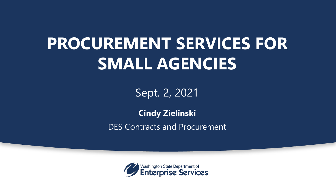# **PROCUREMENT SERVICES FOR SMALL AGENCIES**

Sept. 2, 2021

### **Cindy Zielinski** DES Contracts and Procurement

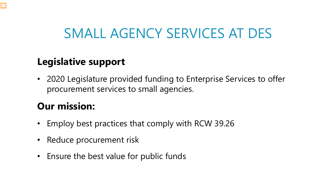## SMALL AGENCY SERVICES AT DES

#### **Legislative support**

• 2020 Legislature provided funding to Enterprise Services to offer procurement services to small agencies.

### **Our mission:**

Ę

- Employ best practices that comply with RCW 39.26
- Reduce procurement risk
- Ensure the best value for public funds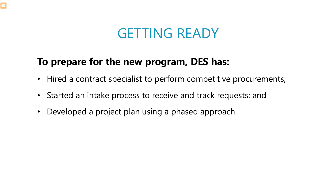### GETTING READY

### **To prepare for the new program, DES has:**

 $\overline{\mathbf{E}}$ 

- Hired a contract specialist to perform competitive procurements;
- Started an intake process to receive and track requests; and
- Developed a project plan using a phased approach.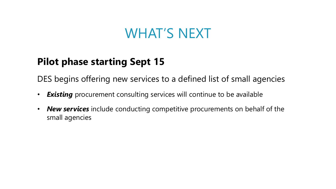### WHAT'S NEXT

#### **Pilot phase starting Sept 15**

DES begins offering new services to a defined list of small agencies

- *Existing* procurement consulting services will continue to be available
- *New services* include conducting competitive procurements on behalf of the small agencies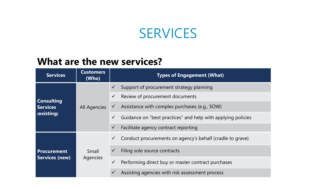### SERVICES

#### **What are the new services?**

| <b>Services</b>                                    | <b>Customers</b><br>(Who) | <b>Types of Engagement (What)</b>                                  |
|----------------------------------------------------|---------------------------|--------------------------------------------------------------------|
| <b>Consulting</b><br><b>Services</b><br>(existing) | All Agencies              | Support of procurement strategy planning<br>$\checkmark$           |
|                                                    |                           | Review of procurement documents<br>$\checkmark$                    |
|                                                    |                           | Assistance with complex purchases (e.g., SOW)<br>$\checkmark$      |
|                                                    |                           | Guidance on "best practices" and help with applying policies       |
|                                                    |                           | Facilitate agency contract reporting                               |
| <b>Procurement</b><br><b>Services (new)</b>        | Small<br>Agencies         | Conduct procurements on agency's behalf (cradle to grave)          |
|                                                    |                           | Filing sole source contracts<br>$\checkmark$                       |
|                                                    |                           | Performing direct buy or master contract purchases<br>$\checkmark$ |
|                                                    |                           | Assisting agencies with risk assessment process                    |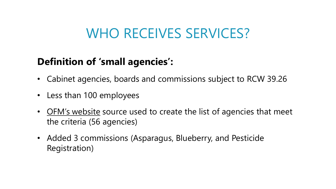### WHO RECEIVES SERVICES?

#### **Definition of 'small agencies':**

- Cabinet agencies, boards and commissions subject to RCW 39.26
- Less than 100 employees
- [OFM's website](https://ofm.wa.gov/state-human-resources/workforce-data-planning/workforce-data-trends/workforce/number-employees-and-headcount-trends) source used to create the list of agencies that meet the criteria (56 agencies)
- Added 3 commissions (Asparagus, Blueberry, and Pesticide Registration)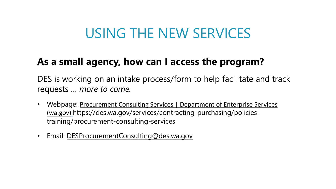### USING THE NEW SERVICES

#### **As a small agency, how can I access the program?**

DES is working on an intake process/form to help facilitate and track requests … *more to come.*

- Webpage: Procurement Consulting Services | Department of Enterprise Services (wa.gov) https://des.wa.gov/services/contracting-purchasing/policiestraining/procurement-consulting-services
- Email: [DESProcurementConsulting@des.wa.gov](mailto:DESProcurementConsulting@des.wa.gov)